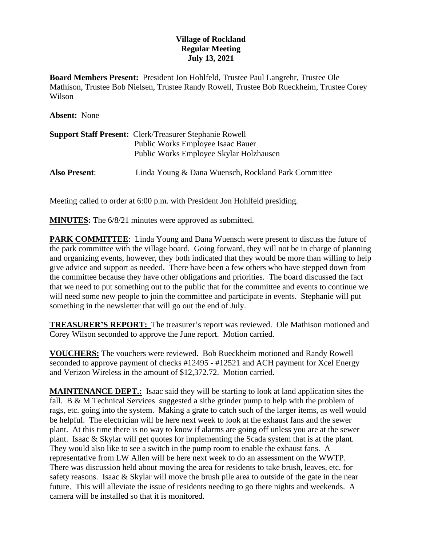## **Village of Rockland Regular Meeting July 13, 2021**

**Board Members Present:** President Jon Hohlfeld, Trustee Paul Langrehr, Trustee Ole Mathison, Trustee Bob Nielsen, Trustee Randy Rowell, Trustee Bob Rueckheim, Trustee Corey Wilson

**Absent:** None

|                      | <b>Support Staff Present: Clerk/Treasurer Stephanie Rowell</b><br>Public Works Employee Isaac Bauer<br>Public Works Employee Skylar Holzhausen |
|----------------------|------------------------------------------------------------------------------------------------------------------------------------------------|
| <b>Also Present:</b> | Linda Young & Dana Wuensch, Rockland Park Committee                                                                                            |

Meeting called to order at 6:00 p.m. with President Jon Hohlfeld presiding.

**MINUTES:** The  $6/8/21$  minutes were approved as submitted.

**PARK COMMITTEE:** Linda Young and Dana Wuensch were present to discuss the future of the park committee with the village board. Going forward, they will not be in charge of planning and organizing events, however, they both indicated that they would be more than willing to help give advice and support as needed. There have been a few others who have stepped down from the committee because they have other obligations and priorities. The board discussed the fact that we need to put something out to the public that for the committee and events to continue we will need some new people to join the committee and participate in events. Stephanie will put something in the newsletter that will go out the end of July.

**TREASURER'S REPORT:** The treasurer's report was reviewed. Ole Mathison motioned and Corey Wilson seconded to approve the June report. Motion carried.

**VOUCHERS:** The vouchers were reviewed. Bob Rueckheim motioned and Randy Rowell seconded to approve payment of checks #12495 - #12521 and ACH payment for Xcel Energy and Verizon Wireless in the amount of \$12,372.72. Motion carried.

**MAINTENANCE DEPT.:** Isaac said they will be starting to look at land application sites the fall. B & M Technical Services suggested a sithe grinder pump to help with the problem of rags, etc. going into the system. Making a grate to catch such of the larger items, as well would be helpful. The electrician will be here next week to look at the exhaust fans and the sewer plant. At this time there is no way to know if alarms are going off unless you are at the sewer plant. Isaac & Skylar will get quotes for implementing the Scada system that is at the plant. They would also like to see a switch in the pump room to enable the exhaust fans. A representative from LW Allen will be here next week to do an assessment on the WWTP. There was discussion held about moving the area for residents to take brush, leaves, etc. for safety reasons. Isaac & Skylar will move the brush pile area to outside of the gate in the near future. This will alleviate the issue of residents needing to go there nights and weekends. A camera will be installed so that it is monitored.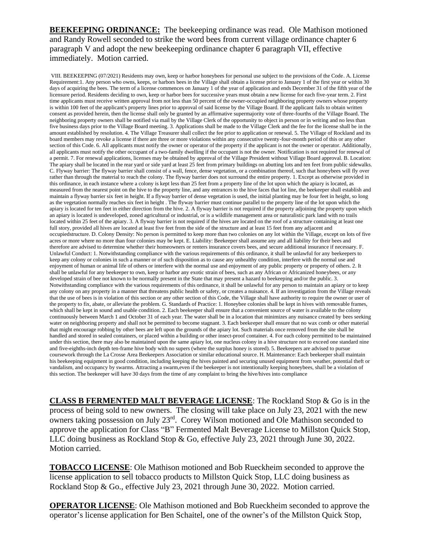**BEEKEEPING ORDINANCE:** The beekeeping ordinance was read. Ole Mathison motioned and Randy Rowell seconded to strike the word bees from current village ordinance chapter 6 paragraph V and adopt the new beekeeping ordinance chapter 6 paragraph VII, effective immediately. Motion carried.

VIII. BEEKEEPING (07/2021) Residents may own, keep or harbor honeybees for personal use subject to the provisions of the Code. A. License Requirement:1. Any person who owns, keeps, or harbors bees in the Village shall obtain a license prior to January 1 of the first year or within 30 days of acquiring the bees. The term of a license commences on January 1 of the year of application and ends December 31 of the fifth year of the licensure period. Residents deciding to own, keep or harbor bees for successive years must obtain a new license for each five-year term. 2. First time applicants must receive written approval from not less than 50 percent of the owner-occupied neighboring property owners whose property is within 100 feet of the applicant's property lines prior to approval of said license by the Village Board. If the applicant fails to obtain written consent as provided herein, then the license shall only be granted by an affirmative supermajority vote of three-fourths of the Village Board. The neighboring property owners shall be notified via mail by the Village Clerk of the opportunity to object in person or in writing and no less than five business days prior to the Village Board meeting. 3. Applications shall be made to the Village Clerk and the fee for the license shall be in the amount established by resolution. 4. The Village Treasurer shall collect the fee prior to application or renewal. 5. The Village of Rockland and its board members may revoke a license if there are three or more violations within any consecutive twenty-four-month period of this or any other section of this Code. 6. All applicants must notify the owner or operator of the property if the applicant is not the owner or operator. Additionally, all applicants must notify the other occupant of a two-family dwelling if the occupant is not the owner. Notification is not required for renewal of a permit. 7. For renewal applications, licenses may be obtained by approval of the Village President without Village Board approval. B. Location: The apiary shall be located in the rear yard or side yard at least 25 feet from primary buildings on abutting lots and ten feet from public sidewalks. C. Flyway barrier: The flyway barrier shall consist of a wall, fence, dense vegetation, or a combination thereof, such that honeybees will fly over rather than through the material to reach the colony. The flyway barrier does not surround the entire property. 1. Except as otherwise provided in this ordinance, in each instance where a colony is kept less than 25 feet from a property line of the lot upon which the apiary is located, as measured from the nearest point on the hive to the property line, and any entrances to the hive faces that lot line, the beekeeper shall establish and maintain a flyway barrier six feet in height. If a flyway barrier of dense vegetation is used, the initial planting may be four feet in height, so long as the vegetation normally reaches six feet in height . The flyway barrier must continue parallel to the property line of the lot upon which the apiary is located for ten feet in either direction from the hive. 2. A flyway barrier is not required if the property adjoining the property upon which an apiary is located is undeveloped, zoned agricultural or industrial, or is a wildlife management area or naturalistic park land with no trails located within 25 feet of the apiary. 3. A flyway barrier is not required if the hives are located on the roof of a structure containing at least one full story, provided all hives are located at least five feet from the side of the structure and at least 15 feet from any adjacent and occupiedstructure. D. Colony Density: No person is permitted to keep more than two colonies on any lot within the Village, except on lots of five acres or more where no more than four colonies may be kept. E. Liability: Beekeeper shall assume any and all liability for their bees and therefore are advised to determine whether their homeowners or renters insurance covers bees, and secure additional insurance if necessary. F. Unlawful Conduct: 1. Notwithstanding compliance with the various requirements of this ordinance, it shall be unlawful for any beekeepers to keep any colony or colonies in such a manner or of such disposition as to cause any unhealthy condition, interfere with the normal use and enjoyment of human or animal life of others or interfere with the normal use and enjoyment of any public property or property of others. 2. It shall be unlawful for any beekeeper to own, keep or harbor any exotic strain of bees, such as any African or Africanized honeybees, or any developed strain of bee not known to be normally present in the State that may present a hazard to beekeeping and/or the public. 3. Notwithstanding compliance with the various requirements of this ordinance, it shall be unlawful for any person to maintain an apiary or to keep any colony on any property in a manner that threatens public health or safety, or creates a nuisance. 4. If an investigation from the Village reveals that the use of bees is in violation of this section or any other section of this Code, the Village shall have authority to require the owner or user of the property to fix, abate, or alleviate the problem. G. Standards of Practice: 1. Honeybee colonies shall be kept in hives with removable frames, which shall be kept in sound and usable condition. 2. Each beekeeper shall ensure that a convenient source of water is available to the colony continuously between March 1 and October 31 of each year. The water shall be in a location that minimizes any nuisance created by bees seeking water on neighboring property and shall not be permitted to become stagnant. 3. Each beekeeper shall ensure that no wax comb or other material that might encourage robbing by other bees are left upon the grounds of the apiary lot. Such materials once removed from the site shall be handled and stored in sealed containers, or placed within a building or other insect-proof container. 4. For each colony permitted to be maintained under this section, there may also be maintained upon the same apiary lot, one nucleus colony in a hive structure not to exceed one standard nine and five-eighths-inch depth ten-frame hive body with no supers (where the surplus honey is stored). 5. Beekeepers are advised to pursue coursework through the La Crosse Area Beekeepers Association or similar educational source. H. Maintenance: Each beekeeper shall maintain his beekeeping equipment in good condition, including keeping the hives painted and securing unused equipment from weather, potential theft or vandalism, and occupancy by swarms. Attracting a swarm,even if the beekeeper is not intentionally keeping honeybees, shall be a violation of this section. The beekeeper will have 30 days from the time of any complaint to bring the hive/hives into compliance

**CLASS B FERMENTED MALT BEVERAGE LICENSE**: The Rockland Stop & Go is in the process of being sold to new owners. The closing will take place on July 23, 2021 with the new owners taking possession on July 23<sup>rd</sup>. Corey Wilson motioned and Ole Mathison seconded to approve the application for Class "B" Fermented Malt Beverage License to Millston Quick Stop, LLC doing business as Rockland Stop & Go, effective July 23, 2021 through June 30, 2022. Motion carried.

**TOBACCO LICENSE**: Ole Mathison motioned and Bob Rueckheim seconded to approve the license application to sell tobacco products to Millston Quick Stop, LLC doing business as Rockland Stop & Go., effective July 23, 2021 through June 30, 2022. Motion carried.

**OPERATOR LICENSE**: Ole Mathison motioned and Bob Rueckheim seconded to approve the operator's license application for Ben Schaitel, one of the owner's of the Millston Quick Stop,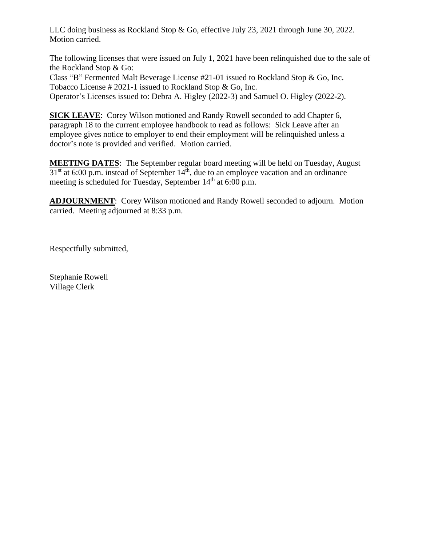LLC doing business as Rockland Stop & Go, effective July 23, 2021 through June 30, 2022. Motion carried.

The following licenses that were issued on July 1, 2021 have been relinquished due to the sale of the Rockland Stop & Go:

Class "B" Fermented Malt Beverage License #21-01 issued to Rockland Stop & Go, Inc. Tobacco License # 2021-1 issued to Rockland Stop & Go, Inc. Operator's Licenses issued to: Debra A. Higley (2022-3) and Samuel O. Higley (2022-2).

**SICK LEAVE**: Corey Wilson motioned and Randy Rowell seconded to add Chapter 6, paragraph 18 to the current employee handbook to read as follows: Sick Leave after an employee gives notice to employer to end their employment will be relinquished unless a doctor's note is provided and verified. Motion carried.

**MEETING DATES**: The September regular board meeting will be held on Tuesday, August  $31<sup>st</sup>$  at 6:00 p.m. instead of September  $14<sup>th</sup>$ , due to an employee vacation and an ordinance meeting is scheduled for Tuesday, September 14<sup>th</sup> at 6:00 p.m.

**ADJOURNMENT**: Corey Wilson motioned and Randy Rowell seconded to adjourn. Motion carried. Meeting adjourned at 8:33 p.m.

Respectfully submitted,

Stephanie Rowell Village Clerk